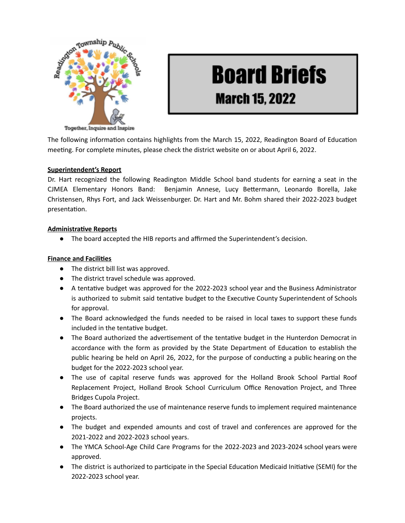

# **Board Briefs March 15, 2022**

The following information contains highlights from the March 15, 2022, Readington Board of Education meeting. For complete minutes, please check the district website on or about April 6, 2022.

#### **Superintendent's Report**

Dr. Hart recognized the following Readington Middle School band students for earning a seat in the CJMEA Elementary Honors Band: Benjamin Annese, Lucy Bettermann, Leonardo Borella, Jake Christensen, Rhys Fort, and Jack Weissenburger. Dr. Hart and Mr. Bohm shared their 2022-2023 budget presentation.

#### **Administrative Reports**

● The board accepted the HIB reports and affirmed the Superintendent's decision.

## **Finance and Facilies**

- The district bill list was approved.
- The district travel schedule was approved.
- A tentative budget was approved for the 2022-2023 school year and the Business Administrator is authorized to submit said tentative budget to the Executive County Superintendent of Schools for approval.
- The Board acknowledged the funds needed to be raised in local taxes to support these funds included in the tentative budget.
- The Board authorized the advertisement of the tentative budget in the Hunterdon Democrat in accordance with the form as provided by the State Department of Education to establish the public hearing be held on April 26, 2022, for the purpose of conducting a public hearing on the budget for the 2022-2023 school year.
- The use of capital reserve funds was approved for the Holland Brook School Partial Roof Replacement Project, Holland Brook School Curriculum Office Renovation Project, and Three Bridges Cupola Project.
- The Board authorized the use of maintenance reserve funds to implement required maintenance projects.
- The budget and expended amounts and cost of travel and conferences are approved for the 2021-2022 and 2022-2023 school years.
- The YMCA School-Age Child Care Programs for the 2022-2023 and 2023-2024 school years were approved.
- The district is authorized to participate in the Special Education Medicaid Initiative (SEMI) for the 2022-2023 school year.